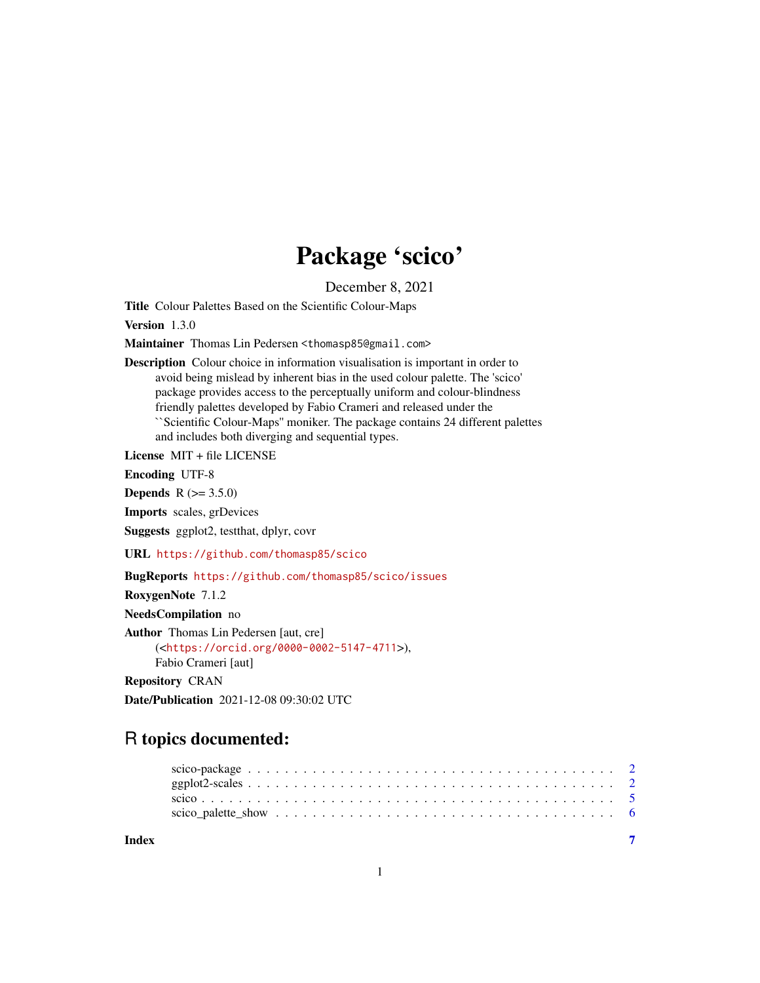# Package 'scico'

December 8, 2021

<span id="page-0-0"></span>Title Colour Palettes Based on the Scientific Colour-Maps

Version 1.3.0

Maintainer Thomas Lin Pedersen <thomasp85@gmail.com>

Description Colour choice in information visualisation is important in order to avoid being mislead by inherent bias in the used colour palette. The 'scico' package provides access to the perceptually uniform and colour-blindness friendly palettes developed by Fabio Crameri and released under the ``Scientific Colour-Maps'' moniker. The package contains 24 different palettes and includes both diverging and sequential types.

License MIT + file LICENSE

Encoding UTF-8

**Depends**  $R (= 3.5.0)$ 

Imports scales, grDevices

Suggests ggplot2, testthat, dplyr, covr

URL <https://github.com/thomasp85/scico>

BugReports <https://github.com/thomasp85/scico/issues>

RoxygenNote 7.1.2

NeedsCompilation no

Author Thomas Lin Pedersen [aut, cre] (<<https://orcid.org/0000-0002-5147-4711>>),

Fabio Crameri [aut]

Repository CRAN

Date/Publication 2021-12-08 09:30:02 UTC

## R topics documented:

| Index |  |  |  |  |  |  |  |  |  |  |  |  |  |  |  |  |  |
|-------|--|--|--|--|--|--|--|--|--|--|--|--|--|--|--|--|--|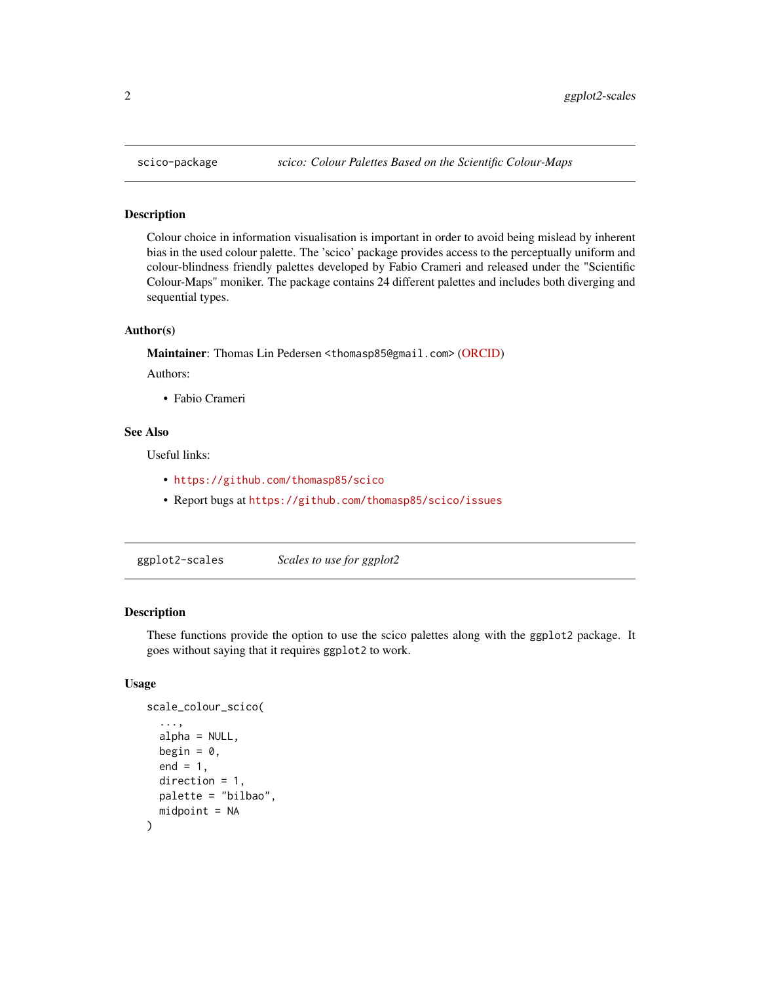#### Description

Colour choice in information visualisation is important in order to avoid being mislead by inherent bias in the used colour palette. The 'scico' package provides access to the perceptually uniform and colour-blindness friendly palettes developed by Fabio Crameri and released under the "Scientific Colour-Maps" moniker. The package contains 24 different palettes and includes both diverging and sequential types.

#### Author(s)

Maintainer: Thomas Lin Pedersen <thomasp85@gmail.com> [\(ORCID\)](https://orcid.org/0000-0002-5147-4711)

Authors:

• Fabio Crameri

#### See Also

Useful links:

- <https://github.com/thomasp85/scico>
- Report bugs at <https://github.com/thomasp85/scico/issues>

ggplot2-scales *Scales to use for ggplot2*

#### Description

These functions provide the option to use the scico palettes along with the ggplot2 package. It goes without saying that it requires ggplot2 to work.

#### Usage

```
scale_colour_scico(
  ...,
  alpha = NULL,
 begin = 0,
  end = 1,
 direction = 1,
 palette = "bilbao",
 midpoint = NA
)
```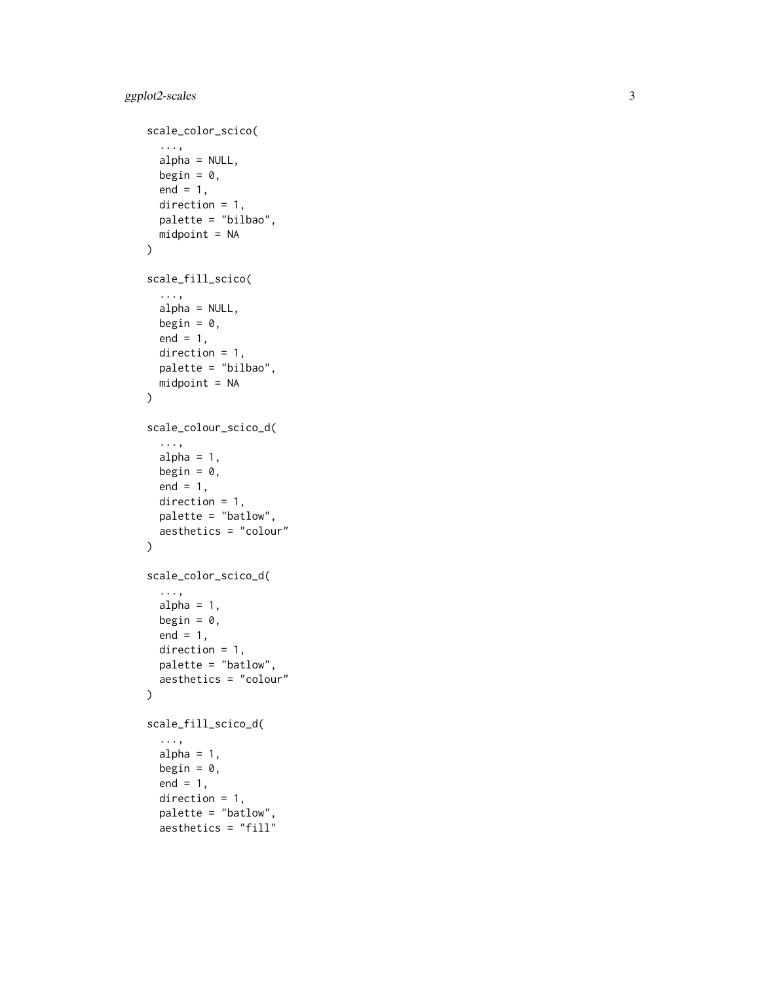```
scale_color_scico(
  ...,
  alpha = NULL,
 begin = 0,
 end = 1,
 direction = 1,
 palette = "bilbao",
 midpoint = NA
\mathcal{L}scale_fill_scico(
  ...,
 alpha = NULL,
 begin = 0,
 end = 1,
 direction = 1,
 palette = "bilbao",
 midpoint = NA
\mathcal{L}scale_colour_scico_d(
  ...,
 alpha = 1,
 begin = 0,
 end = 1,
 direction = 1,
 palette = "batlow",
 aesthetics = "colour"
\mathcal{L}scale_color_scico_d(
  ...,
 alpha = 1,
 begin = 0,
 end = 1,
 direction = 1,
 palette = "batlow",
 aesthetics = "colour"
\mathcal{L}scale_fill_scico_d(
  ...,
  alpha = 1,
 begin = 0,
  end = 1,
  direction = 1,
  palette = "batlow",
```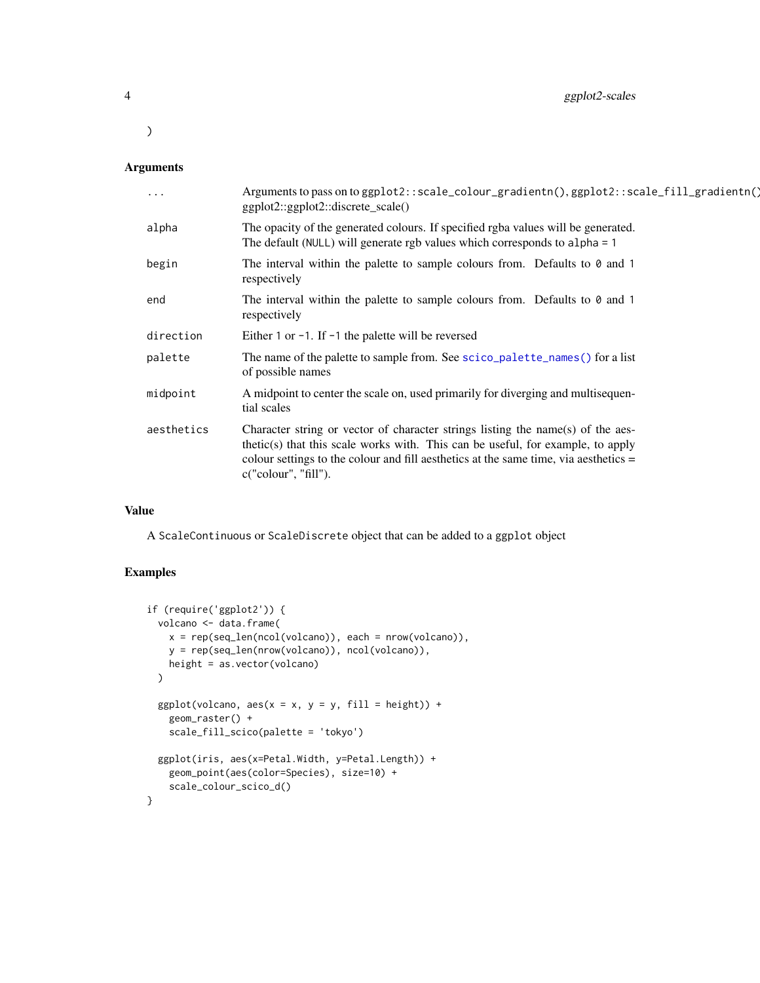#### Arguments

| $\ddots$   | Arguments to pass on to ggplot2::scale_colour_gradientn(), ggplot2::scale_fill_gradientn()<br>ggplot2::ggplot2::discrete_scale()                                                                                                                                                   |
|------------|------------------------------------------------------------------------------------------------------------------------------------------------------------------------------------------------------------------------------------------------------------------------------------|
| alpha      | The opacity of the generated colours. If specified rgba values will be generated.<br>The default (NULL) will generate rgb values which corresponds to alpha = 1                                                                                                                    |
| begin      | The interval within the palette to sample colours from. Defaults to $0$ and 1<br>respectively                                                                                                                                                                                      |
| end        | The interval within the palette to sample colours from. Defaults to $\theta$ and 1<br>respectively                                                                                                                                                                                 |
| direction  | Either 1 or $-1$ . If $-1$ the palette will be reversed                                                                                                                                                                                                                            |
| palette    | The name of the palette to sample from. See scico_palette_names() for a list<br>of possible names                                                                                                                                                                                  |
| midpoint   | A midpoint to center the scale on, used primarily for diverging and multisequen-<br>tial scales                                                                                                                                                                                    |
| aesthetics | Character string or vector of character strings listing the name(s) of the aes-<br>thetic(s) that this scale works with. This can be useful, for example, to apply<br>colour settings to the colour and fill aesthetics at the same time, via aesthetics =<br>c("colour", "fill"). |

#### Value

A ScaleContinuous or ScaleDiscrete object that can be added to a ggplot object

#### Examples

```
if (require('ggplot2')) {
  volcano <- data.frame(
   x = rep(seq_len(ncol(volcano)), each = nrow(volcano)),
   y = rep(seq_len(nrow(volcano)), ncol(volcano)),
   height = as.vector(volcano)
  \lambdaggplot(volcano, aes(x = x, y = y, fill = height)) +geom_raster() +
   scale_fill_scico(palette = 'tokyo')
  ggplot(iris, aes(x=Petal.Width, y=Petal.Length)) +
   geom_point(aes(color=Species), size=10) +
   scale_colour_scico_d()
}
```
<span id="page-3-0"></span> $\mathcal{L}$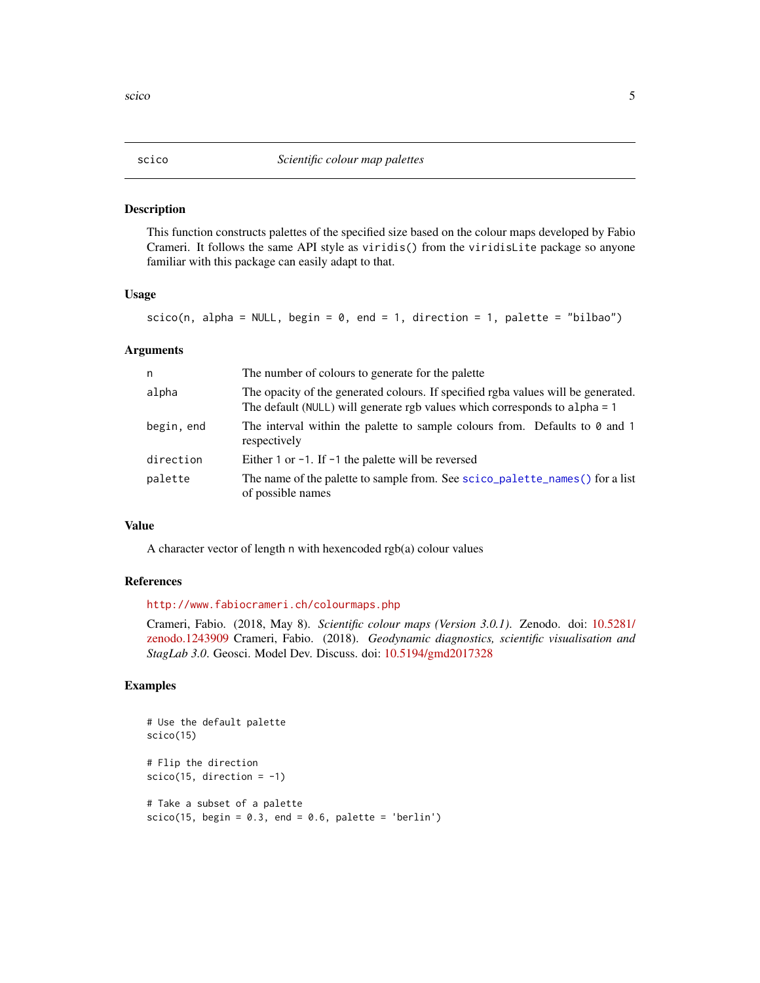#### <span id="page-4-0"></span>Description

This function constructs palettes of the specified size based on the colour maps developed by Fabio Crameri. It follows the same API style as viridis() from the viridisLite package so anyone familiar with this package can easily adapt to that.

#### Usage

```
scico(n, alpha = NULL, begin = 0, end = 1, direction = 1, palette = "bilbao")
```
#### Arguments

| n          | The number of colours to generate for the palette                                                                                                                   |
|------------|---------------------------------------------------------------------------------------------------------------------------------------------------------------------|
| alpha      | The opacity of the generated colours. If specified rgba values will be generated.<br>The default ( $NULL$ ) will generate rgb values which corresponds to alpha = 1 |
| begin, end | The interval within the palette to sample colours from. Defaults to $\theta$ and 1<br>respectively                                                                  |
| direction  | Either 1 or $-1$ . If $-1$ the palette will be reversed                                                                                                             |
| palette    | The name of the palette to sample from. See scico_palette_names() for a list<br>of possible names                                                                   |

#### Value

A character vector of length n with hexencoded rgb(a) colour values

#### References

<http://www.fabiocrameri.ch/colourmaps.php>

Crameri, Fabio. (2018, May 8). *Scientific colour maps (Version 3.0.1)*. Zenodo. doi: [10.5281/](https://doi.org/10.5281/zenodo.1243909) [zenodo.1243909](https://doi.org/10.5281/zenodo.1243909) Crameri, Fabio. (2018). *Geodynamic diagnostics, scientific visualisation and StagLab 3.0*. Geosci. Model Dev. Discuss. doi: [10.5194/gmd2017328](https://doi.org/10.5194/gmd-2017-328)

#### Examples

```
# Use the default palette
scico(15)
# Flip the direction
scico(15, direction = -1)# Take a subset of a palette
scico(15, begin = 0.3, end = 0.6, platete = 'berlin')
```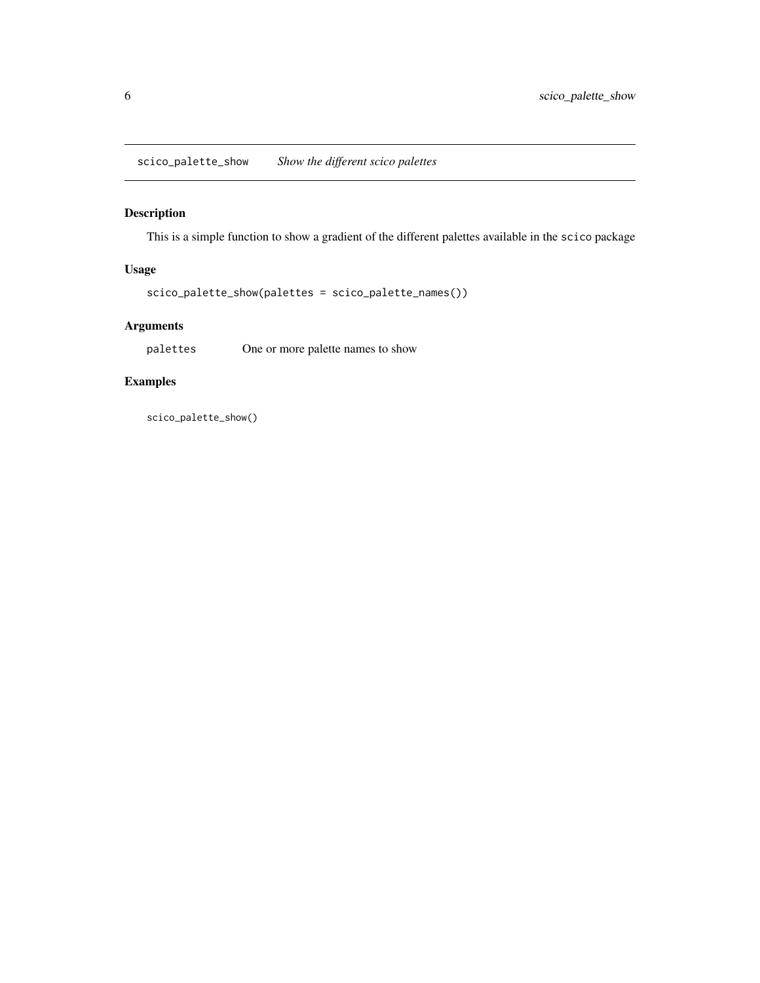<span id="page-5-0"></span>scico\_palette\_show *Show the different scico palettes*

### Description

This is a simple function to show a gradient of the different palettes available in the scico package

#### Usage

scico\_palette\_show(palettes = scico\_palette\_names())

#### Arguments

palettes One or more palette names to show

#### Examples

scico\_palette\_show()